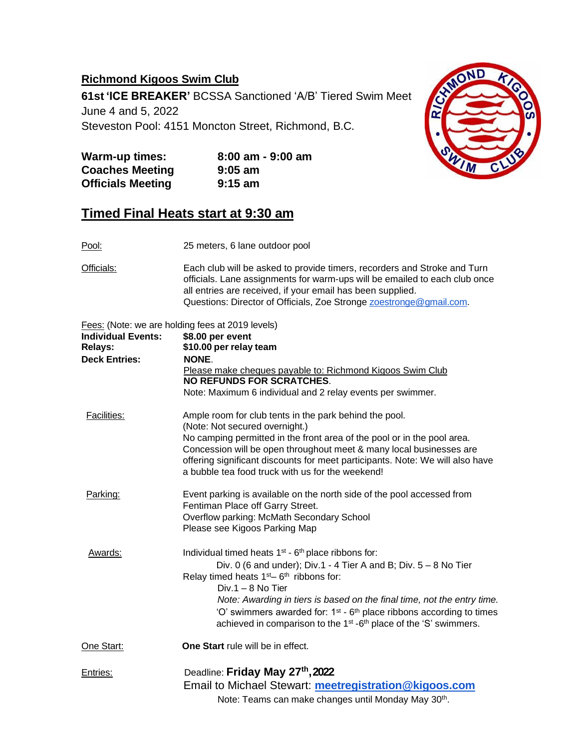## **Richmond Kigoos Swim Club**

**61st 'ICE BREAKER'** BCSSA Sanctioned 'A/B' Tiered Swim Meet

June 4 and 5, 2022

Steveston Pool: 4151 Moncton Street, Richmond, B.C.



| <b>Warm-up times:</b>    | $8:00$ am - $9:00$ am |
|--------------------------|-----------------------|
| <b>Coaches Meeting</b>   | $9:05$ am             |
| <b>Officials Meeting</b> | $9:15$ am             |

## **Timed Final Heats start at 9:30 am**

Pool: 25 meters, 6 lane outdoor pool

Officials: Each club will be asked to provide timers, recorders and Stroke and Turn officials. Lane assignments for warm-ups will be emailed to each club once all entries are received, if your email has been supplied. Questions: Director of Officials, Zoe Stronge **zoestronge@gmail.com**.

Fees: (Note: we are holding fees at 2019 levels)

|                           | $\sim$ 000. There, we did notality tool at 2010 to voic)                                                                                                                                                                                                                            |
|---------------------------|-------------------------------------------------------------------------------------------------------------------------------------------------------------------------------------------------------------------------------------------------------------------------------------|
| <b>Individual Events:</b> | \$8.00 per event                                                                                                                                                                                                                                                                    |
| <b>Relays:</b>            | \$10.00 per relay team                                                                                                                                                                                                                                                              |
| <b>Deck Entries:</b>      | NONE.                                                                                                                                                                                                                                                                               |
|                           | Please make cheques payable to: Richmond Kigoos Swim Club<br><b>NO REFUNDS FOR SCRATCHES.</b>                                                                                                                                                                                       |
|                           | Note: Maximum 6 individual and 2 relay events per swimmer.                                                                                                                                                                                                                          |
| <b>Facilities:</b>        | Ample room for club tents in the park behind the pool.                                                                                                                                                                                                                              |
|                           | (Note: Not secured overnight.)                                                                                                                                                                                                                                                      |
|                           | No camping permitted in the front area of the pool or in the pool area.<br>Concession will be open throughout meet & many local businesses are<br>offering significant discounts for meet participants. Note: We will also have<br>a bubble tea food truck with us for the weekend! |
| Parking:                  | Event parking is available on the north side of the pool accessed from<br>Fentiman Place off Garry Street.                                                                                                                                                                          |
|                           | Overflow parking: McMath Secondary School                                                                                                                                                                                                                                           |
|                           | Please see Kigoos Parking Map                                                                                                                                                                                                                                                       |
| Awards:                   | Individual timed heats 1 <sup>st</sup> - 6 <sup>th</sup> place ribbons for:                                                                                                                                                                                                         |
|                           | Div. 0 (6 and under); Div.1 - 4 Tier A and B; Div. $5 - 8$ No Tier<br>Relay timed heats $1st - 6th$ ribbons for:                                                                                                                                                                    |
|                           | $Div.1 - 8$ No Tier                                                                                                                                                                                                                                                                 |
|                           | Note: Awarding in tiers is based on the final time, not the entry time.                                                                                                                                                                                                             |
|                           | 'O' swimmers awarded for: $1st$ - $6th$ place ribbons according to times<br>achieved in comparison to the 1 <sup>st</sup> -6 <sup>th</sup> place of the 'S' swimmers.                                                                                                               |
| One Start:                | One Start rule will be in effect.                                                                                                                                                                                                                                                   |
| Entries:                  | Deadline: Friday May 27th, 2022                                                                                                                                                                                                                                                     |
|                           | Email to Michael Stewart: meetregistration@kigoos.com                                                                                                                                                                                                                               |
|                           | Note: Teams can make changes until Monday May 30th.                                                                                                                                                                                                                                 |
|                           |                                                                                                                                                                                                                                                                                     |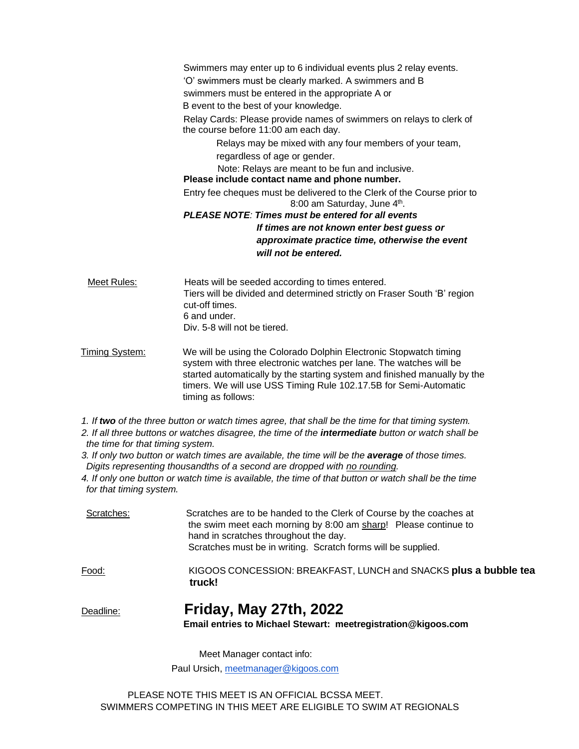Swimmers may enter up to 6 individual events plus 2 relay events. 'O' swimmers must be clearly marked. A swimmers and B swimmers must be entered in the appropriate A or B event to the best of your knowledge. Relay Cards: Please provide names of swimmers on relays to clerk of the course before 11:00 am each day. Relays may be mixed with any four members of your team, regardless of age or gender. Note: Relays are meant to be fun and inclusive. **Please include contact name and phone number.** Entry fee cheques must be delivered to the Clerk of the Course prior to 8:00 am Saturday, June 4<sup>th</sup>. *PLEASE NOTE: Times must be entered for all events If times are not known enter best guess or approximate practice time, otherwise the event will not be entered.*

Meet Rules: Heats will be seeded according to times entered. Tiers will be divided and determined strictly on Fraser South 'B' region cut-off times. 6 and under. Div. 5-8 will not be tiered.

Timing System: We will be using the Colorado Dolphin Electronic Stopwatch timing system with three electronic watches per lane. The watches will be started automatically by the starting system and finished manually by the timers. We will use USS Timing Rule 102.17.5B for Semi-Automatic timing as follows:

- 1. If two of the three button or watch times agree, that shall be the time for that timing system.
- 2. If all three buttons or watches disagree, the time of the intermediate button or watch shall be *the time for that timing system.*
- 3. If only two button or watch times are available, the time will be the average of those times. *Digits representing thousandths of a second are dropped with no rounding.*
- 4. If only one button or watch time is available, the time of that button or watch shall be the time *for that timing system.*

| Scratches: | Scratches are to be handed to the Clerk of Course by the coaches at<br>the swim meet each morning by 8:00 am sharp! Please continue to<br>hand in scratches throughout the day.<br>Scratches must be in writing. Scratch forms will be supplied. |  |  |
|------------|--------------------------------------------------------------------------------------------------------------------------------------------------------------------------------------------------------------------------------------------------|--|--|
| Food:      | KIGOOS CONCESSION: BREAKFAST, LUNCH and SNACKS plus a bubble tea<br>truck!                                                                                                                                                                       |  |  |
| Deadline:  | <b>Friday, May 27th, 2022</b><br>Email entries to Michael Stewart: meetregistration@kigoos.com                                                                                                                                                   |  |  |

Meet Manager contact info:

Paul Ursich, [meetmanager@kigoos.com](mailto:meetmanager@kigoos.com)